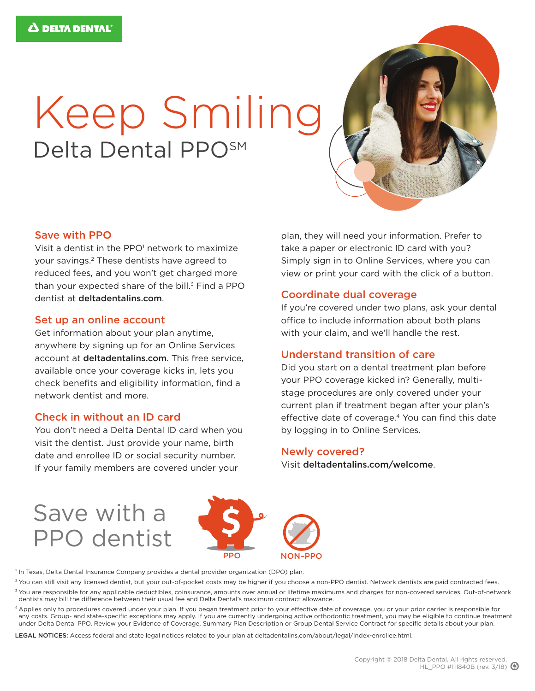# Keep Smiling Delta Dental PPOSM



### Save with PPO

Visit a dentist in the PPO<sup>1</sup> network to maximize your savings.2 These dentists have agreed to reduced fees, and you won't get charged more than your expected share of the bill. $3$  Find a PPO dentist at deltadentalins.com.

#### Set up an online account

Get information about your plan anytime, anywhere by signing up for an Online Services account at deltadentalins.com. This free service, available once your coverage kicks in, lets you check benefits and eligibility information, find a network dentist and more.

#### Check in without an ID card

You don't need a Delta Dental ID card when you visit the dentist. Just provide your name, birth date and enrollee ID or social security number. If your family members are covered under your

plan, they will need your information. Prefer to take a paper or electronic ID card with you? Simply sign in to Online Services, where you can view or print your card with the click of a button.

#### Coordinate dual coverage

If you're covered under two plans, ask your dental office to include information about both plans with your claim, and we'll handle the rest.

#### Understand transition of care

Did you start on a dental treatment plan before your PPO coverage kicked in? Generally, multistage procedures are only covered under your current plan if treatment began after your plan's effective date of coverage.<sup>4</sup> You can find this date by logging in to Online Services.

#### Newly covered?

Visit deltadentalins.com/welcome.

# Save with a PPO dentist



1 In Texas, Delta Dental Insurance Company provides a dental provider organization (DPO) plan.

<sup>2</sup> You can still visit any licensed dentist, but your out-of-pocket costs may be higher if you choose a non-PPO dentist. Network dentists are paid contracted fees.

<sup>3</sup> You are responsible for any applicable deductibles, coinsurance, amounts over annual or lifetime maximums and charges for non-covered services. Out-of-network dentists may bill the difference between their usual fee and Delta Dental's maximum contract allowance.

4 Applies only to procedures covered under your plan. If you began treatment prior to your effective date of coverage, you or your prior carrier is responsible for any costs. Group- and state-specific exceptions may apply. If you are currently undergoing active orthodontic treatment, you may be eligible to continue treatment under Delta Dental PPO. Review your Evidence of Coverage, Summary Plan Description or Group Dental Service Contract for specific details about your plan.

LEGAL NOTICES: Access federal and state legal notices related to your plan at deltadentalins.com/about/legal/index-enrollee.html.